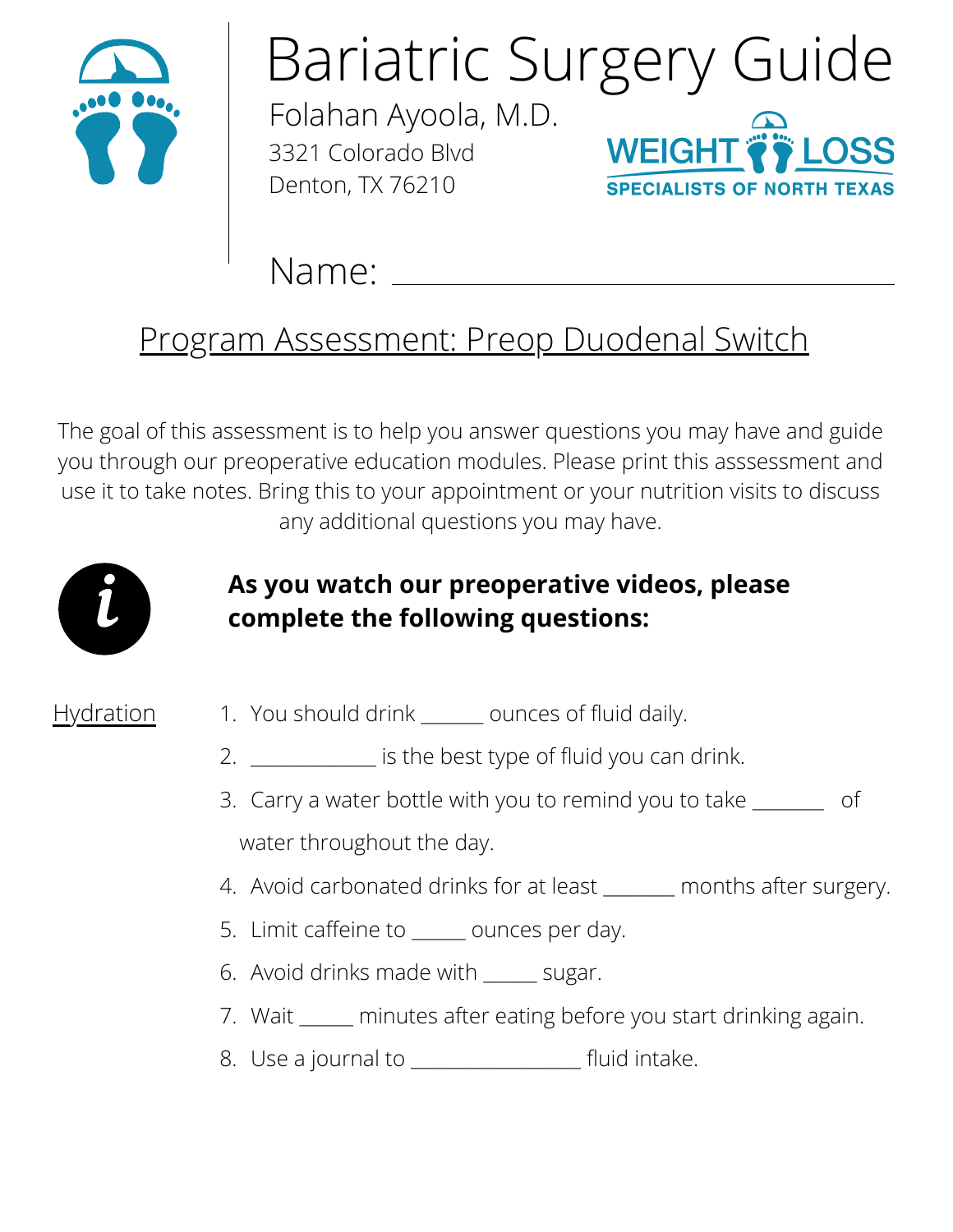

# Bariatric Surgery Guide

Folahan Ayoola, M.D. 3321 Colorado Blvd Denton, TX 76210



Name:

### Program Assessment: Preop Duodenal Switch

The goal of this assessment is to help you answer questions you may have and guide you through our preoperative education modules. Please print this asssessment and use it to take notes. Bring this to your appointment or your nutrition visits to discuss any additional questions you may have.



### **As you watch our preoperative videos, please complete the following questions:**

- Hydration 1. You should drink \_\_\_\_\_\_\_ ounces of fluid daily.
	- 2. <u>\_\_\_\_\_\_\_\_\_\_\_\_\_\_\_</u> is the best type of fluid you can drink.
	- 3. Carry a water bottle with you to remind you to take \_\_\_\_\_\_\_\_\_ of water throughout the day.
	- 4. Avoid carbonated drinks for at least \_\_\_\_\_\_ months after surgery.
	- 5. Limit caffeine to \_\_\_\_\_\_ ounces per day.
	- Avoid drinks made with \_\_\_\_\_\_ sugar. 6.
	- Wait \_\_\_\_\_\_ minutes after eating before you start drinking again. 7.
	- 8. Use a journal to \_\_\_\_\_\_\_\_\_\_\_\_\_\_\_\_\_\_\_\_\_ fluid intake.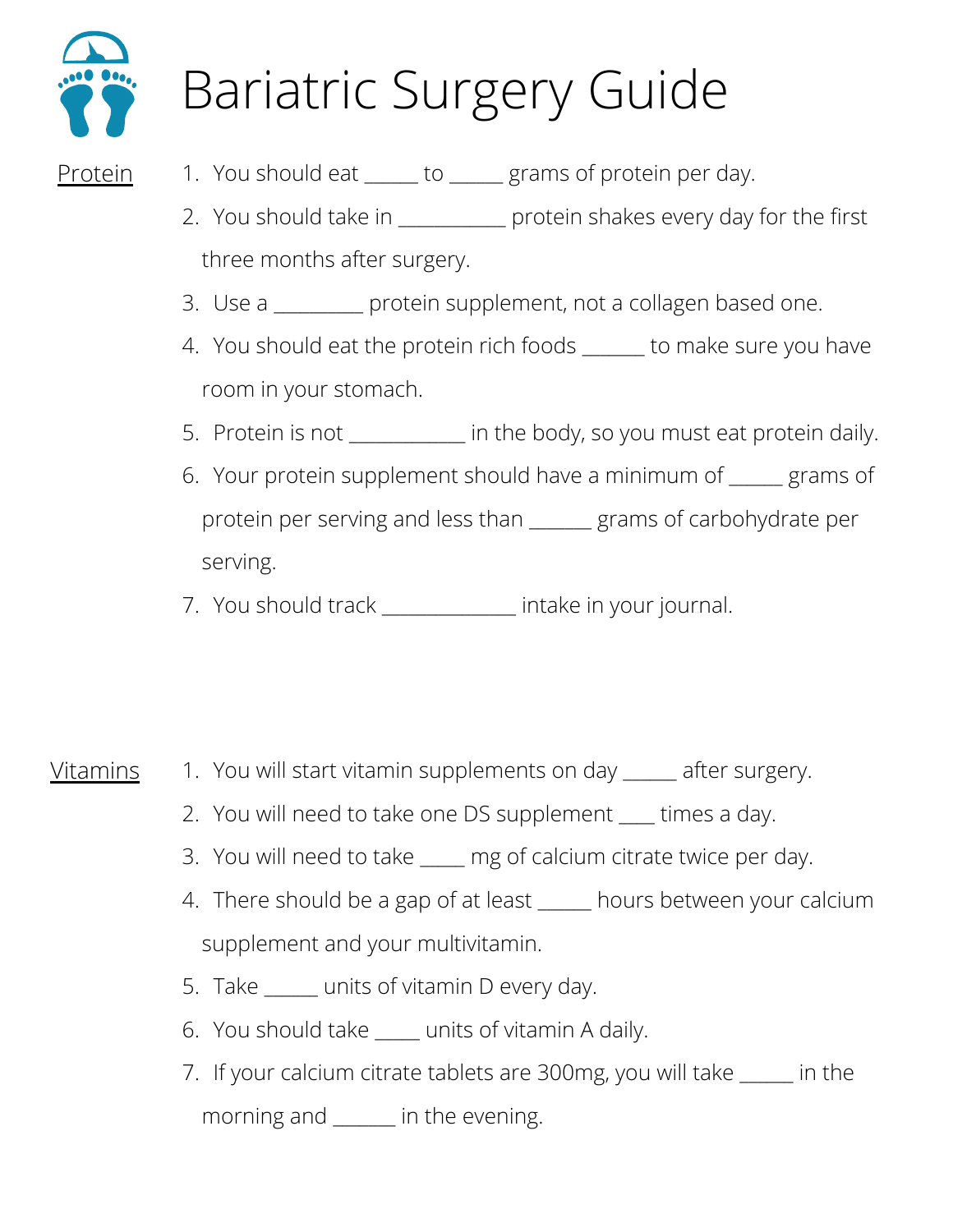

## Bariatric Surgery Guide

- Protein 1. You should eat \_\_\_\_\_\_ to \_\_\_\_\_\_ grams of protein per day.
	- 2. You should take in \_\_\_\_\_\_\_\_\_\_\_\_ protein shakes every day for the first three months after surgery.
	- Use a \_\_\_\_\_\_\_\_\_\_ protein supplement, not a collagen based one. 3.
	- 4. You should eat the protein rich foods \_\_\_\_\_\_ to make sure you have room in your stomach.
	- 5. Protein is not \_\_\_\_\_\_\_\_\_\_\_ in the body, so you must eat protein daily.
	- Your protein supplement should have a minimum of \_\_\_\_\_\_ grams of 6. protein per serving and less than \_\_\_\_\_\_\_ grams of carbohydrate per serving.
	- 7. You should track \_\_\_\_\_\_\_\_\_\_\_\_\_ intake in your journal.

- Vitamins 1. You will start vitamin supplements on day \_\_\_\_\_ after surgery.
	- 2. You will need to take one DS supplement \_\_\_\_ times a day.
	- 3. You will need to take \_\_\_\_\_ mg of calcium citrate twice per day.
	- There should be a gap of at least \_\_\_\_\_\_ hours between your calcium 4. supplement and your multivitamin.
	- 5. Take \_\_\_\_\_\_ units of vitamin D every day.
	- You should take \_\_\_\_\_ units of vitamin A daily. 6.
	- If your calcium citrate tablets are 300mg, you will take \_\_\_\_\_\_ in the 7.morning and \_\_\_\_\_\_\_ in the evening.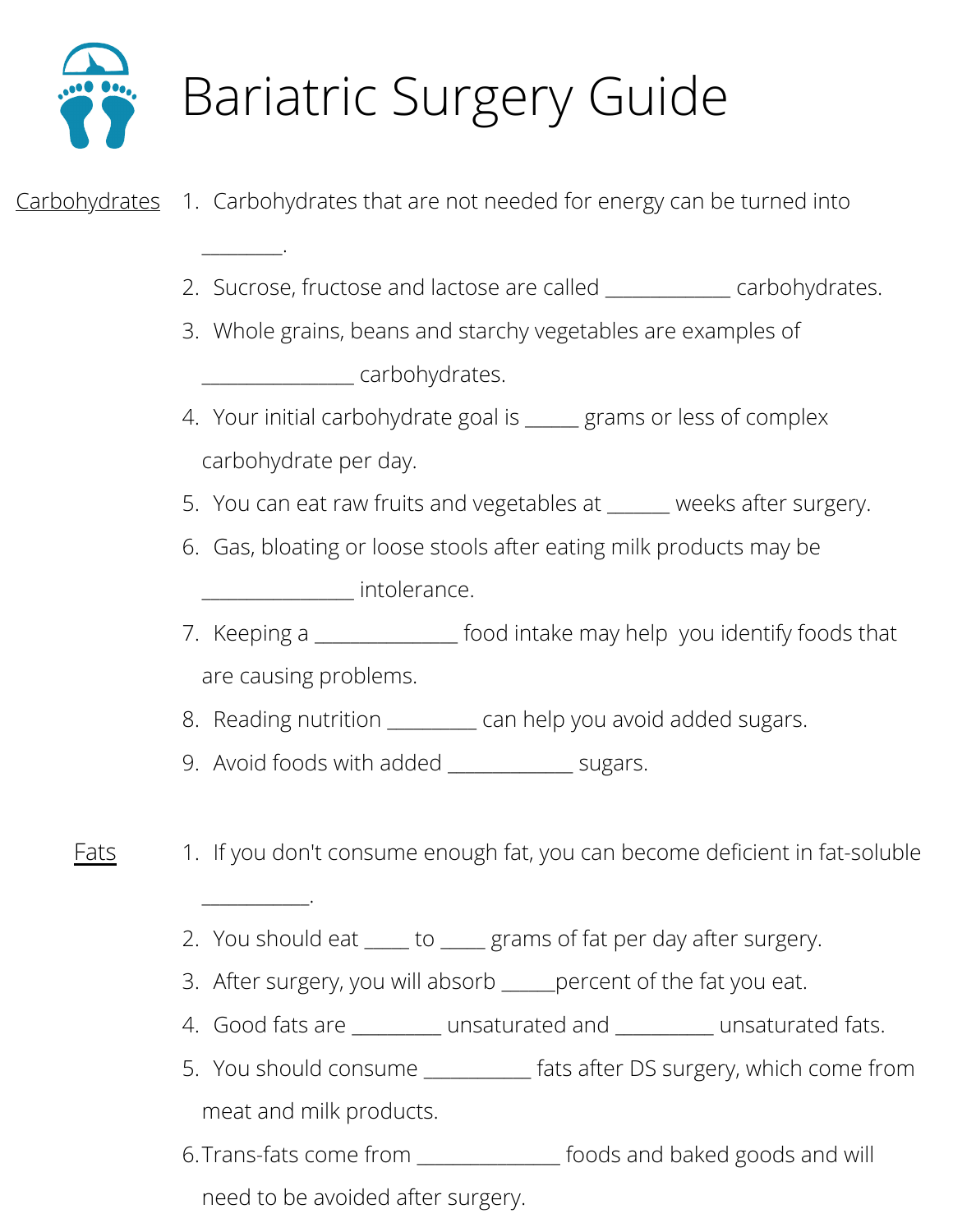

 $\overline{\phantom{a}}$ 

\_\_\_\_\_\_\_\_\_\_\_\_.

## Bariatric Surgery Guide

### <u>Carbohydrates</u> 1. Carbohydrates that are not needed for energy can be turned into

- 2. Sucrose, fructose and lactose are called \_\_\_\_\_\_\_\_\_\_\_\_ carbohydrates.
- Whole grains, beans and starchy vegetables are examples of 3. \_\_\_\_\_\_\_\_\_\_\_\_\_\_\_\_\_ carbohydrates.
- 4. Your initial carbohydrate goal is \_\_\_\_\_ grams or less of complex carbohydrate per day.
- You can eat raw fruits and vegetables at \_\_\_\_\_\_\_ weeks after surgery. 5.
- Gas, bloating or loose stools after eating milk products may be 6. \_\_\_\_\_\_\_\_\_\_\_\_\_\_\_\_\_ intolerance.
- 7. Keeping a \_\_\_\_\_\_\_\_\_\_\_\_\_\_\_ food intake may help you identify foods that are causing problems.
- Reading nutrition \_\_\_\_\_\_\_\_\_\_ can help you avoid added sugars. 8.
- Avoid foods with added \_\_\_\_\_\_\_\_\_\_\_\_\_\_ sugars. 9.
- Fats 1. If you don't consume enough fat, you can become deficient in fat-soluble
	- 2. You should eat \_\_\_\_\_ to \_\_\_\_\_ grams of fat per day after surgery.
	- 3. After surgery, you will absorb \_\_\_\_\_percent of the fat you eat.
	- Good fats are \_\_\_\_\_\_\_\_\_\_ unsaturated and \_\_\_\_\_\_\_\_\_\_\_ unsaturated fats. 4.
	- 5. You should consume \_\_\_\_\_\_\_\_\_\_\_ fats after DS surgery, which come from meat and milk products.
	- 6.Trans-fats come from \_\_\_\_\_\_\_\_\_\_\_\_\_\_\_\_ foods and baked goods and will need to be avoided after surgery.